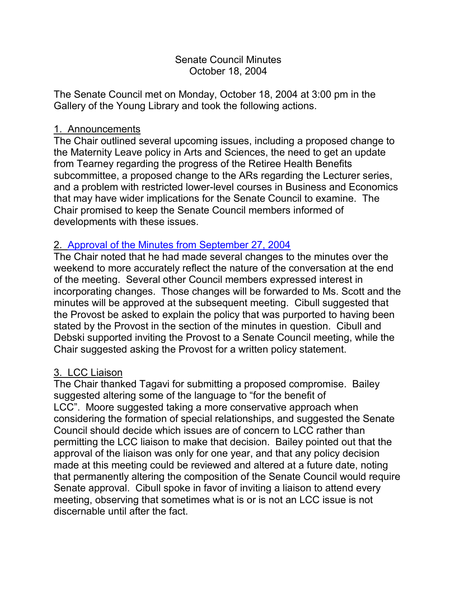# Senate Council Minutes October 18, 2004

The Senate Council met on Monday, October 18, 2004 at 3:00 pm in the Gallery of the Young Library and took the following actions.

#### 1. Announcements

The Chair outlined several upcoming issues, including a proposed change to the Maternity Leave policy in Arts and Sciences, the need to get an update from Tearney regarding the progress of the Retiree Health Benefits subcommittee, a proposed change to the ARs regarding the Lecturer series, and a problem with restricted lower-level courses in Business and Economics that may have wider implications for the Senate Council to examine. The Chair promised to keep the Senate Council members informed of developments with these issues.

# 2. [Approval of the Minutes from September 27, 2004](http://www.uky.edu/USC/New/SCMinutes/SC%20Meeting%20Sept%20%2027%20%20Final.htm)

The Chair noted that he had made several changes to the minutes over the weekend to more accurately reflect the nature of the conversation at the end of the meeting. Several other Council members expressed interest in incorporating changes. Those changes will be forwarded to Ms. Scott and the minutes will be approved at the subsequent meeting. Cibull suggested that the Provost be asked to explain the policy that was purported to having been stated by the Provost in the section of the minutes in question. Cibull and Debski supported inviting the Provost to a Senate Council meeting, while the Chair suggested asking the Provost for a written policy statement.

# 3. LCC Liaison

The Chair thanked Tagavi for submitting a proposed compromise. Bailey suggested altering some of the language to "for the benefit of LCC". Moore suggested taking a more conservative approach when considering the formation of special relationships, and suggested the Senate Council should decide which issues are of concern to LCC rather than permitting the LCC liaison to make that decision. Bailey pointed out that the approval of the liaison was only for one year, and that any policy decision made at this meeting could be reviewed and altered at a future date, noting that permanently altering the composition of the Senate Council would require Senate approval. Cibull spoke in favor of inviting a liaison to attend every meeting, observing that sometimes what is or is not an LCC issue is not discernable until after the fact.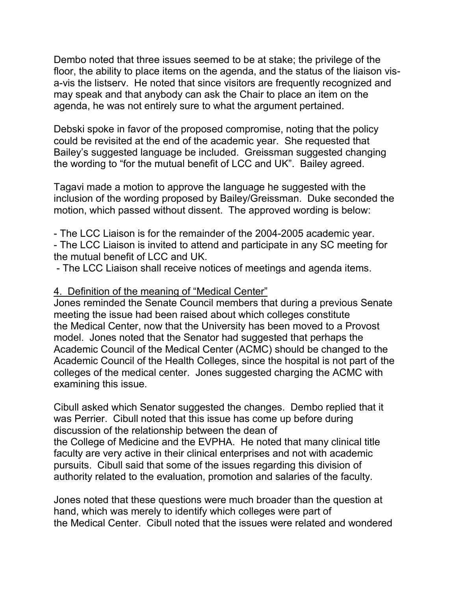Dembo noted that three issues seemed to be at stake; the privilege of the floor, the ability to place items on the agenda, and the status of the liaison visa-vis the listserv. He noted that since visitors are frequently recognized and may speak and that anybody can ask the Chair to place an item on the agenda, he was not entirely sure to what the argument pertained.

Debski spoke in favor of the proposed compromise, noting that the policy could be revisited at the end of the academic year. She requested that Bailey's suggested language be included. Greissman suggested changing the wording to "for the mutual benefit of LCC and UK". Bailey agreed.

Tagavi made a motion to approve the language he suggested with the inclusion of the wording proposed by Bailey/Greissman. Duke seconded the motion, which passed without dissent. The approved wording is below:

- The LCC Liaison is for the remainder of the 2004-2005 academic year. - The LCC Liaison is invited to attend and participate in any SC meeting for the mutual benefit of LCC and UK.

- The LCC Liaison shall receive notices of meetings and agenda items.

## 4. Definition of the meaning of "Medical Center"

Jones reminded the Senate Council members that during a previous Senate meeting the issue had been raised about which colleges constitute the Medical Center, now that the University has been moved to a Provost model. Jones noted that the Senator had suggested that perhaps the Academic Council of the Medical Center (ACMC) should be changed to the Academic Council of the Health Colleges, since the hospital is not part of the colleges of the medical center. Jones suggested charging the ACMC with examining this issue.

Cibull asked which Senator suggested the changes. Dembo replied that it was Perrier. Cibull noted that this issue has come up before during discussion of the relationship between the dean of the College of Medicine and the EVPHA. He noted that many clinical title faculty are very active in their clinical enterprises and not with academic pursuits. Cibull said that some of the issues regarding this division of authority related to the evaluation, promotion and salaries of the faculty.

Jones noted that these questions were much broader than the question at hand, which was merely to identify which colleges were part of the Medical Center. Cibull noted that the issues were related and wondered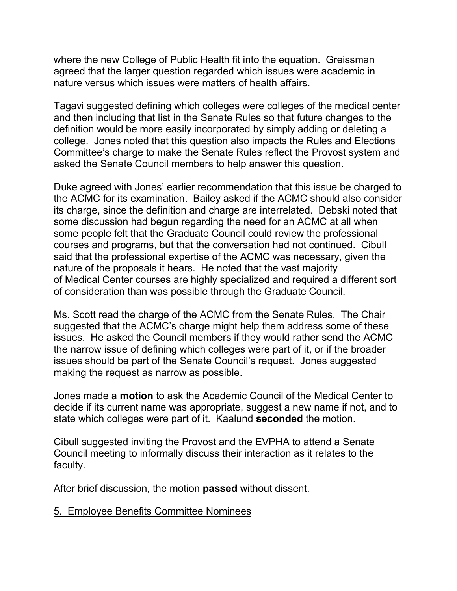where the new College of Public Health fit into the equation. Greissman agreed that the larger question regarded which issues were academic in nature versus which issues were matters of health affairs.

Tagavi suggested defining which colleges were colleges of the medical center and then including that list in the Senate Rules so that future changes to the definition would be more easily incorporated by simply adding or deleting a college. Jones noted that this question also impacts the Rules and Elections Committee's charge to make the Senate Rules reflect the Provost system and asked the Senate Council members to help answer this question.

Duke agreed with Jones' earlier recommendation that this issue be charged to the ACMC for its examination. Bailey asked if the ACMC should also consider its charge, since the definition and charge are interrelated. Debski noted that some discussion had begun regarding the need for an ACMC at all when some people felt that the Graduate Council could review the professional courses and programs, but that the conversation had not continued. Cibull said that the professional expertise of the ACMC was necessary, given the nature of the proposals it hears. He noted that the vast majority of Medical Center courses are highly specialized and required a different sort of consideration than was possible through the Graduate Council.

Ms. Scott read the charge of the ACMC from the Senate Rules. The Chair suggested that the ACMC's charge might help them address some of these issues. He asked the Council members if they would rather send the ACMC the narrow issue of defining which colleges were part of it, or if the broader issues should be part of the Senate Council's request. Jones suggested making the request as narrow as possible.

Jones made a **motion** to ask the Academic Council of the Medical Center to decide if its current name was appropriate, suggest a new name if not, and to state which colleges were part of it. Kaalund **seconded** the motion.

Cibull suggested inviting the Provost and the EVPHA to attend a Senate Council meeting to informally discuss their interaction as it relates to the faculty.

After brief discussion, the motion **passed** without dissent.

5. Employee Benefits Committee Nominees